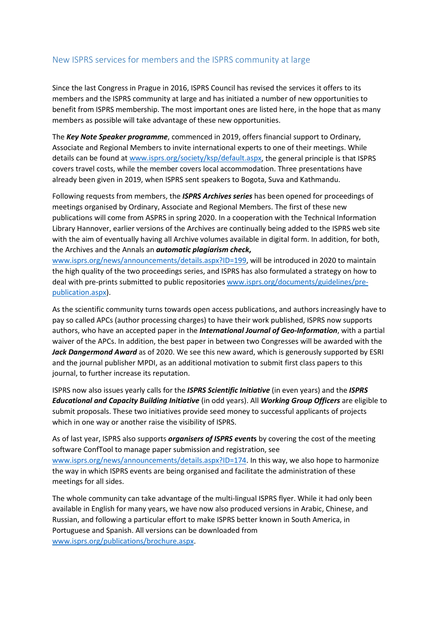## New ISPRS services for members and the ISPRS community at large

Since the last Congress in Prague in 2016, ISPRS Council has revised the services it offers to its members and the ISPRS community at large and has initiated a number of new opportunities to benefit from ISPRS membership. The most important ones are listed here, in the hope that as many members as possible will take advantage of these new opportunities.

The *Key Note Speaker programme*, commenced in 2019, offers financial support to Ordinary, Associate and Regional Members to invite international experts to one of their meetings. While details can be found at [www.isprs.org/society/ksp/default.aspx,](http://www.isprs.org/society/ksp/default.aspx) the general principle is that ISPRS covers travel costs, while the member covers local accommodation. Three presentations have already been given in 2019, when ISPRS sent speakers to Bogota, Suva and Kathmandu.

Following requests from members, the *ISPRS Archives series* has been opened for proceedings of meetings organised by Ordinary, Associate and Regional Members. The first of these new publications will come from ASPRS in spring 2020. In a cooperation with the Technical Information Library Hannover, earlier versions of the Archives are continually being added to the ISPRS web site with the aim of eventually having all Archive volumes available in digital form. In addition, for both, the Archives and the Annals an *automatic plagiarism check***,** 

[www.isprs.org/news/announcements/details.aspx?ID=199,](http://www.isprs.org/news/announcements/details.aspx?ID=199) will be introduced in 2020 to maintain the high quality of the two proceedings series, and ISPRS has also formulated a strategy on how to deal with pre-prints submitted to public repositories [www.isprs.org/documents/guidelines/pre](http://www.isprs.org/documents/guidelines/pre-publication.aspx)[publication.aspx\)](http://www.isprs.org/documents/guidelines/pre-publication.aspx).

As the scientific community turns towards open access publications, and authors increasingly have to pay so called APCs (author processing charges) to have their work published, ISPRS now supports authors, who have an accepted paper in the *International Journal of Geo-Information*, with a partial waiver of the APCs. In addition, the best paper in between two Congresses will be awarded with the *Jack Dangermond Award* as of 2020. We see this new award, which is generously supported by ESRI and the journal publisher MPDI, as an additional motivation to submit first class papers to this journal, to further increase its reputation.

ISPRS now also issues yearly calls for the *ISPRS Scientific Initiative* (in even years) and the *ISPRS Educational and Capacity Building Initiative* (in odd years). All *Working Group Officers* are eligible to submit proposals. These two initiatives provide seed money to successful applicants of projects which in one way or another raise the visibility of ISPRS.

As of last year, ISPRS also supports *organisers of ISPRS event***s** by covering the cost of the meeting software ConfTool to manage paper submission and registration, see [www.isprs.org/news/announcements/details.aspx?ID=174.](http://www.isprs.org/news/announcements/details.aspx?ID=174) In this way, we also hope to harmonize the way in which ISPRS events are being organised and facilitate the administration of these meetings for all sides.

The whole community can take advantage of the multi-lingual ISPRS flyer. While it had only been available in English for many years, we have now also produced versions in Arabic, Chinese, and Russian, and following a particular effort to make ISPRS better known in South America, in Portuguese and Spanish. All versions can be downloaded from [www.isprs.org/publications/brochure.aspx.](http://www.isprs.org/publications/brochure.aspx)